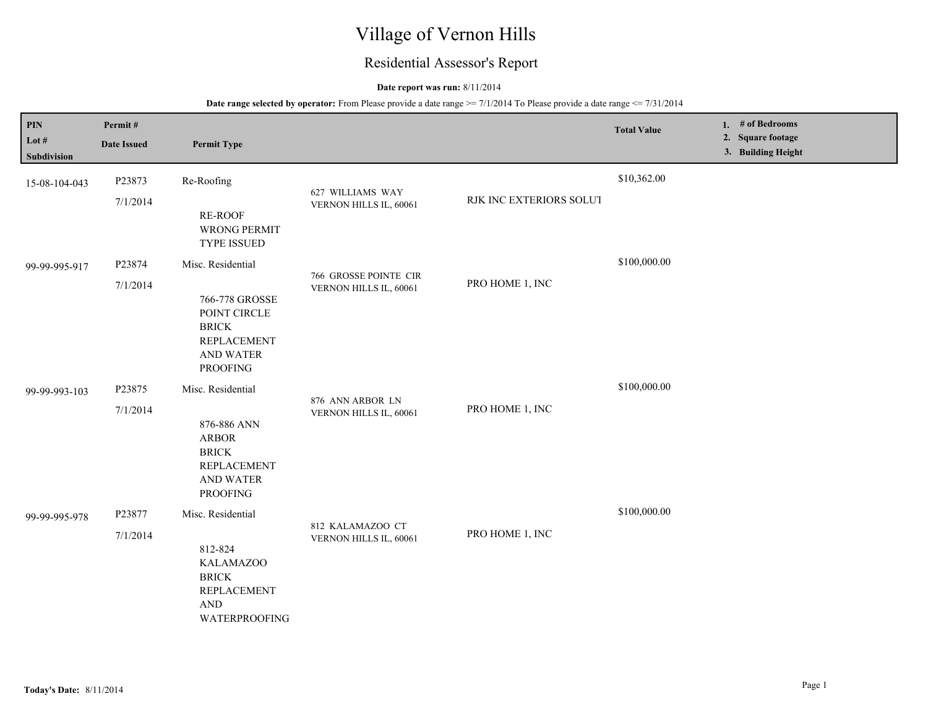# Village of Vernon Hills

## Residential Assessor's Report

#### **Date report was run:** 8/11/2014

| PIN<br>Lot #<br><b>Subdivision</b> | Permit#<br><b>Date Issued</b> | <b>Permit Type</b>                                                                                                              |                                                 |                         | <b>Total Value</b> | 1. $#$ of Bedrooms<br>2. Square footage<br>3. Building Height |
|------------------------------------|-------------------------------|---------------------------------------------------------------------------------------------------------------------------------|-------------------------------------------------|-------------------------|--------------------|---------------------------------------------------------------|
| 15-08-104-043                      | P23873<br>7/1/2014            | Re-Roofing<br>RE-ROOF<br>WRONG PERMIT<br>TYPE ISSUED                                                                            | 627 WILLIAMS WAY<br>VERNON HILLS IL, 60061      | RJK INC EXTERIORS SOLUT | \$10,362.00        |                                                               |
| 99-99-995-917                      | P23874<br>7/1/2014            | Misc. Residential<br>766-778 GROSSE<br>POINT CIRCLE<br><b>BRICK</b><br><b>REPLACEMENT</b><br>AND WATER<br><b>PROOFING</b>       | 766 GROSSE POINTE CIR<br>VERNON HILLS IL, 60061 | PRO HOME 1, INC         | \$100,000.00       |                                                               |
| 99-99-993-103                      | P23875<br>7/1/2014            | Misc. Residential<br>876-886 ANN<br><b>ARBOR</b><br><b>BRICK</b><br><b>REPLACEMENT</b><br>AND WATER<br><b>PROOFING</b>          | 876 ANN ARBOR LN<br>VERNON HILLS IL, 60061      | PRO HOME 1, INC         | \$100,000.00       |                                                               |
| 99-99-995-978                      | P23877<br>7/1/2014            | Misc. Residential<br>812-824<br><b>KALAMAZOO</b><br><b>BRICK</b><br><b>REPLACEMENT</b><br>$\operatorname{AND}$<br>WATERPROOFING | 812 KALAMAZOO CT<br>VERNON HILLS IL, 60061      | PRO HOME 1, INC         | \$100,000.00       |                                                               |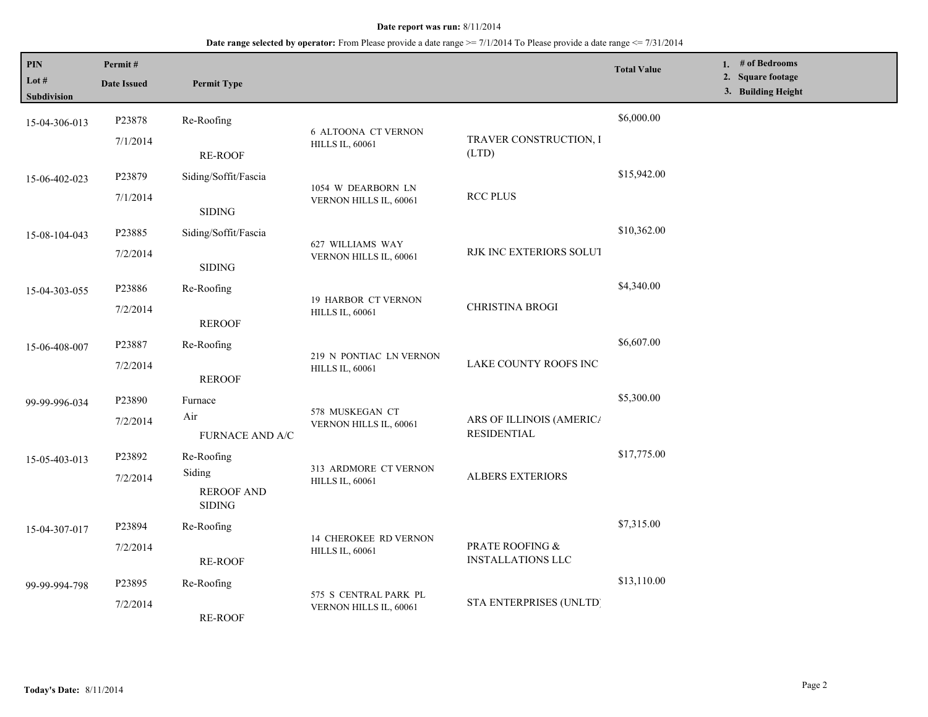| PIN<br>Lot #<br>Subdivision | Permit#<br><b>Date Issued</b> | <b>Permit Type</b>                           |                                                        |                                                | <b>Total Value</b> | 1. # of Bedrooms<br>2. Square footage<br>3. Building Height |
|-----------------------------|-------------------------------|----------------------------------------------|--------------------------------------------------------|------------------------------------------------|--------------------|-------------------------------------------------------------|
| 15-04-306-013               | P23878                        | Re-Roofing                                   |                                                        |                                                | \$6,000.00         |                                                             |
|                             | 7/1/2014                      | <b>RE-ROOF</b>                               | <b>6 ALTOONA CT VERNON</b><br><b>HILLS IL, 60061</b>   | TRAVER CONSTRUCTION, I<br>(LTD)                |                    |                                                             |
| 15-06-402-023               | P23879                        | Siding/Soffit/Fascia                         | 1054 W DEARBORN LN                                     |                                                | \$15,942.00        |                                                             |
|                             | 7/1/2014                      | <b>SIDING</b>                                | VERNON HILLS IL, 60061                                 | <b>RCC PLUS</b>                                |                    |                                                             |
| 15-08-104-043               | P23885                        | Siding/Soffit/Fascia                         | 627 WILLIAMS WAY<br>VERNON HILLS IL, 60061             |                                                | \$10,362.00        |                                                             |
|                             | 7/2/2014                      | <b>SIDING</b>                                |                                                        | RJK INC EXTERIORS SOLUT                        |                    |                                                             |
| 15-04-303-055               | P23886                        | Re-Roofing                                   | <b>19 HARBOR CT VERNON</b>                             |                                                | \$4,340.00         |                                                             |
|                             | 7/2/2014                      | <b>REROOF</b>                                | <b>HILLS IL, 60061</b>                                 | CHRISTINA BROGI                                |                    |                                                             |
| 15-06-408-007               | P23887                        | Re-Roofing                                   |                                                        |                                                | \$6,607.00         |                                                             |
|                             | 7/2/2014                      | <b>REROOF</b>                                | 219 N PONTIAC LN VERNON<br><b>HILLS IL, 60061</b>      | LAKE COUNTY ROOFS INC                          |                    |                                                             |
| 99-99-996-034               | P23890                        | Furnace                                      |                                                        | ARS OF ILLINOIS (AMERICA<br><b>RESIDENTIAL</b> | \$5,300.00         |                                                             |
|                             | 7/2/2014                      | Air<br>FURNACE AND A/C                       | 578 MUSKEGAN CT<br>VERNON HILLS IL, 60061              |                                                |                    |                                                             |
| 15-05-403-013               | P23892                        | Re-Roofing                                   |                                                        |                                                | \$17,775.00        |                                                             |
|                             | 7/2/2014                      | Siding<br><b>REROOF AND</b><br><b>SIDING</b> | 313 ARDMORE CT VERNON<br><b>HILLS IL, 60061</b>        | <b>ALBERS EXTERIORS</b>                        |                    |                                                             |
| 15-04-307-017               | P23894                        | Re-Roofing                                   |                                                        |                                                | \$7,315.00         |                                                             |
|                             | 7/2/2014                      | <b>RE-ROOF</b>                               | <b>14 CHEROKEE RD VERNON</b><br><b>HILLS IL, 60061</b> | PRATE ROOFING &<br><b>INSTALLATIONS LLC</b>    |                    |                                                             |
| 99-99-994-798               | P23895                        | Re-Roofing                                   |                                                        |                                                | \$13,110.00        |                                                             |
|                             | 7/2/2014                      | <b>RE-ROOF</b>                               | 575 S CENTRAL PARK PL<br>VERNON HILLS IL, 60061        | STA ENTERPRISES (UNLTD)                        |                    |                                                             |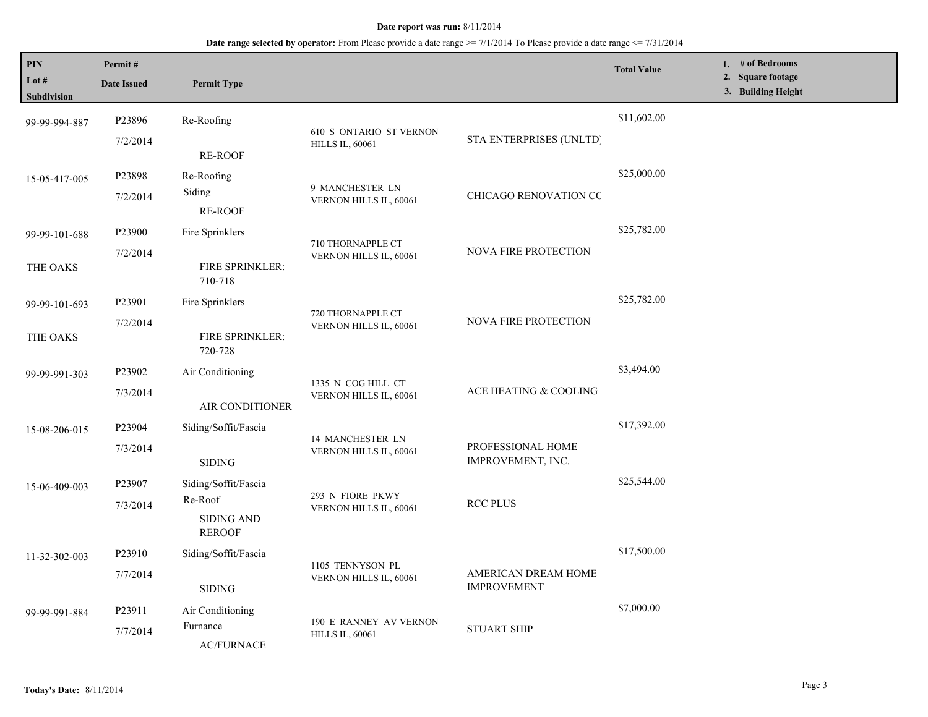| PIN<br>Lot #<br><b>Subdivision</b> | Permit#<br><b>Date Issued</b> | <b>Permit Type</b>                            |                                                  |                                           | <b>Total Value</b> | 1. # of Bedrooms<br>2. Square footage<br>3. Building Height |
|------------------------------------|-------------------------------|-----------------------------------------------|--------------------------------------------------|-------------------------------------------|--------------------|-------------------------------------------------------------|
| 99-99-994-887                      | P23896                        | Re-Roofing                                    | 610 S ONTARIO ST VERNON                          | STA ENTERPRISES (UNLTD)                   | \$11,602.00        |                                                             |
|                                    | 7/2/2014                      | RE-ROOF                                       | <b>HILLS IL, 60061</b>                           |                                           |                    |                                                             |
| 15-05-417-005                      | P23898                        | Re-Roofing                                    |                                                  |                                           | \$25,000.00        |                                                             |
|                                    | 7/2/2014                      | Siding<br><b>RE-ROOF</b>                      | 9 MANCHESTER LN<br>VERNON HILLS IL, 60061        | <b>CHICAGO RENOVATION CC</b>              |                    |                                                             |
| 99-99-101-688                      | P23900                        | Fire Sprinklers                               | 710 THORNAPPLE CT                                |                                           | \$25,782.00        |                                                             |
| THE OAKS                           | 7/2/2014                      | FIRE SPRINKLER:<br>710-718                    | VERNON HILLS IL, 60061                           | <b>NOVA FIRE PROTECTION</b>               |                    |                                                             |
| 99-99-101-693                      | P23901                        | Fire Sprinklers                               |                                                  |                                           | \$25,782.00        |                                                             |
| THE OAKS                           | 7/2/2014                      | FIRE SPRINKLER:<br>720-728                    | 720 THORNAPPLE CT<br>VERNON HILLS IL, 60061      | NOVA FIRE PROTECTION                      |                    |                                                             |
| 99-99-991-303                      | P23902                        | Air Conditioning                              |                                                  |                                           | \$3,494.00         |                                                             |
|                                    | 7/3/2014                      | AIR CONDITIONER                               | 1335 N COG HILL CT<br>VERNON HILLS IL, 60061     | ACE HEATING & COOLING                     |                    |                                                             |
| 15-08-206-015                      | P23904                        | Siding/Soffit/Fascia                          | 14 MANCHESTER LN                                 |                                           | \$17,392.00        |                                                             |
|                                    | 7/3/2014                      | <b>SIDING</b>                                 | VERNON HILLS IL, 60061                           | PROFESSIONAL HOME<br>IMPROVEMENT, INC.    |                    |                                                             |
| 15-06-409-003                      | P23907                        | Siding/Soffit/Fascia                          | 293 N FIORE PKWY                                 |                                           | \$25,544.00        |                                                             |
|                                    | 7/3/2014                      | Re-Roof<br><b>SIDING AND</b><br><b>REROOF</b> | VERNON HILLS IL, 60061                           | <b>RCC PLUS</b>                           |                    |                                                             |
| 11-32-302-003                      | P23910                        | Siding/Soffit/Fascia                          |                                                  |                                           | \$17,500.00        |                                                             |
|                                    | 7/7/2014                      | <b>SIDING</b>                                 | 1105 TENNYSON PL<br>VERNON HILLS IL, 60061       | AMERICAN DREAM HOME<br><b>IMPROVEMENT</b> |                    |                                                             |
| 99-99-991-884                      | P23911                        | Air Conditioning                              |                                                  | <b>STUART SHIP</b>                        | \$7,000.00         |                                                             |
|                                    | 7/7/2014                      | Furnance<br><b>AC/FURNACE</b>                 | 190 E RANNEY AV VERNON<br><b>HILLS IL, 60061</b> |                                           |                    |                                                             |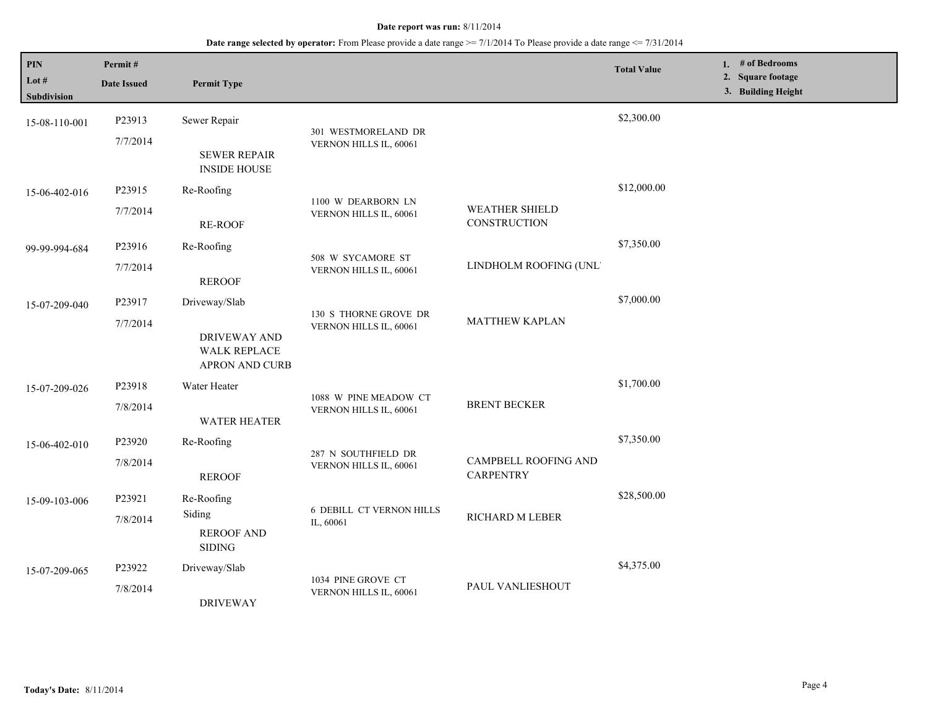| PIN<br>Lot #<br><b>Subdivision</b> | Permit#<br><b>Date Issued</b> | <b>Permit Type</b>                                                            |                                                 |                                          | <b>Total Value</b> | 1. # of Bedrooms<br>2. Square footage<br>3. Building Height |
|------------------------------------|-------------------------------|-------------------------------------------------------------------------------|-------------------------------------------------|------------------------------------------|--------------------|-------------------------------------------------------------|
| 15-08-110-001                      | P23913<br>7/7/2014            | Sewer Repair<br><b>SEWER REPAIR</b><br><b>INSIDE HOUSE</b>                    | 301 WESTMORELAND DR<br>VERNON HILLS IL, 60061   |                                          | \$2,300.00         |                                                             |
| 15-06-402-016                      | P23915<br>7/7/2014            | Re-Roofing<br>RE-ROOF                                                         | 1100 W DEARBORN LN<br>VERNON HILLS IL, 60061    | <b>WEATHER SHIELD</b><br>CONSTRUCTION    | \$12,000.00        |                                                             |
| 99-99-994-684                      | P23916<br>7/7/2014            | Re-Roofing<br><b>REROOF</b>                                                   | 508 W SYCAMORE ST<br>VERNON HILLS IL, 60061     | LINDHOLM ROOFING (UNL'                   | \$7,350.00         |                                                             |
| 15-07-209-040                      | P23917<br>7/7/2014            | Driveway/Slab<br><b>DRIVEWAY AND</b><br><b>WALK REPLACE</b><br>APRON AND CURB | 130 S THORNE GROVE DR<br>VERNON HILLS IL, 60061 | <b>MATTHEW KAPLAN</b>                    | \$7,000.00         |                                                             |
| 15-07-209-026                      | P23918<br>7/8/2014            | Water Heater<br><b>WATER HEATER</b>                                           | 1088 W PINE MEADOW CT<br>VERNON HILLS IL, 60061 | <b>BRENT BECKER</b>                      | \$1,700.00         |                                                             |
| 15-06-402-010                      | P23920<br>7/8/2014            | Re-Roofing<br><b>REROOF</b>                                                   | 287 N SOUTHFIELD DR<br>VERNON HILLS IL, 60061   | CAMPBELL ROOFING AND<br><b>CARPENTRY</b> | \$7,350.00         |                                                             |
| 15-09-103-006                      | P23921<br>7/8/2014            | Re-Roofing<br>Siding<br><b>REROOF AND</b><br><b>SIDING</b>                    | <b>6 DEBILL CT VERNON HILLS</b><br>IL, 60061    | RICHARD M LEBER                          | \$28,500.00        |                                                             |
| 15-07-209-065                      | P23922<br>7/8/2014            | Driveway/Slab<br><b>DRIVEWAY</b>                                              | 1034 PINE GROVE CT<br>VERNON HILLS IL, 60061    | PAUL VANLIESHOUT                         | \$4,375.00         |                                                             |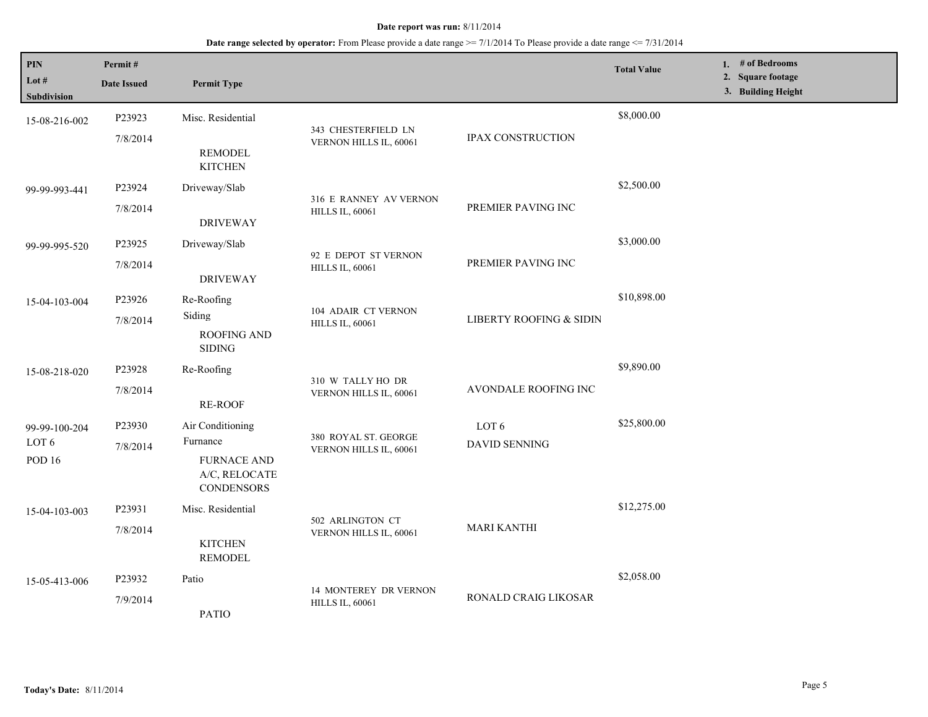| PIN<br>Lot $#$<br><b>Subdivision</b>    | Permit#<br><b>Date Issued</b> | <b>Permit Type</b>                                                                       |                                                  |                         | <b>Total Value</b> | 1. # of Bedrooms<br>2. Square footage<br>3. Building Height |
|-----------------------------------------|-------------------------------|------------------------------------------------------------------------------------------|--------------------------------------------------|-------------------------|--------------------|-------------------------------------------------------------|
| 15-08-216-002                           | P23923<br>7/8/2014            | Misc. Residential<br><b>REMODEL</b><br><b>KITCHEN</b>                                    | 343 CHESTERFIELD LN<br>VERNON HILLS IL, 60061    | IPAX CONSTRUCTION       | \$8,000.00         |                                                             |
| 99-99-993-441                           | P23924<br>7/8/2014            | Driveway/Slab<br><b>DRIVEWAY</b>                                                         | 316 E RANNEY AV VERNON<br><b>HILLS IL, 60061</b> | PREMIER PAVING INC      | \$2,500.00         |                                                             |
| 99-99-995-520                           | P23925<br>7/8/2014            | Driveway/Slab<br><b>DRIVEWAY</b>                                                         | 92 E DEPOT ST VERNON<br><b>HILLS IL, 60061</b>   | PREMIER PAVING INC      | \$3,000.00         |                                                             |
| 15-04-103-004                           | P23926<br>7/8/2014            | Re-Roofing<br>Siding<br><b>ROOFING AND</b><br><b>SIDING</b>                              | 104 ADAIR CT VERNON<br><b>HILLS IL, 60061</b>    | LIBERTY ROOFING & SIDIN | \$10,898.00        |                                                             |
| 15-08-218-020                           | P23928<br>7/8/2014            | Re-Roofing<br><b>RE-ROOF</b>                                                             | 310 W TALLY HO DR<br>VERNON HILLS IL, 60061      | AVONDALE ROOFING INC    | \$9,890.00         |                                                             |
| 99-99-100-204<br>LOT 6<br><b>POD 16</b> | P23930<br>7/8/2014            | Air Conditioning<br>Furnance<br><b>FURNACE AND</b><br>A/C, RELOCATE<br><b>CONDENSORS</b> | 380 ROYAL ST. GEORGE<br>VERNON HILLS IL, 60061   | LOT 6<br>DAVID SENNING  | \$25,800.00        |                                                             |
| 15-04-103-003                           | P23931<br>7/8/2014            | Misc. Residential<br><b>KITCHEN</b><br><b>REMODEL</b>                                    | 502 ARLINGTON CT<br>VERNON HILLS IL, 60061       | <b>MARI KANTHI</b>      | \$12,275.00        |                                                             |
| 15-05-413-006                           | P23932<br>7/9/2014            | Patio<br><b>PATIO</b>                                                                    | 14 MONTEREY DR VERNON<br><b>HILLS IL, 60061</b>  | RONALD CRAIG LIKOSAR    | \$2,058.00         |                                                             |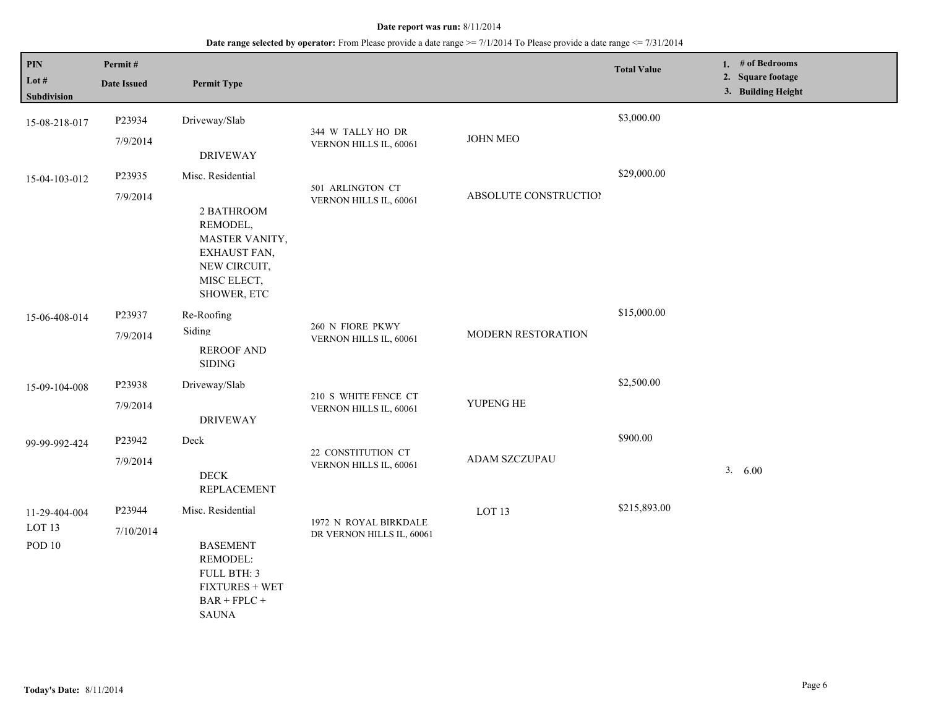| PIN<br>Lot #<br>Subdivision                         | Permit#<br><b>Date Issued</b> | <b>Permit Type</b>                                                                                                          |                                                    |                       | <b>Total Value</b> | 1. $#$ of Bedrooms<br>2. Square footage<br>3. Building Height |
|-----------------------------------------------------|-------------------------------|-----------------------------------------------------------------------------------------------------------------------------|----------------------------------------------------|-----------------------|--------------------|---------------------------------------------------------------|
| 15-08-218-017                                       | P23934<br>7/9/2014            | Driveway/Slab<br><b>DRIVEWAY</b>                                                                                            | 344 W TALLY HO DR<br>VERNON HILLS IL, 60061        | <b>JOHN MEO</b>       | \$3,000.00         |                                                               |
| 15-04-103-012                                       | P23935<br>7/9/2014            | Misc. Residential<br>2 BATHROOM<br>REMODEL,<br>MASTER VANITY,<br>EXHAUST FAN,<br>NEW CIRCUIT,<br>MISC ELECT,<br>SHOWER, ETC | 501 ARLINGTON CT<br>VERNON HILLS IL, 60061         | ABSOLUTE CONSTRUCTION | \$29,000.00        |                                                               |
| 15-06-408-014                                       | P23937<br>7/9/2014            | Re-Roofing<br>Siding<br><b>REROOF AND</b><br><b>SIDING</b>                                                                  | 260 N FIORE PKWY<br>VERNON HILLS IL, 60061         | MODERN RESTORATION    | \$15,000.00        |                                                               |
| 15-09-104-008                                       | P23938<br>7/9/2014            | Driveway/Slab<br><b>DRIVEWAY</b>                                                                                            | 210 S WHITE FENCE CT<br>VERNON HILLS IL, 60061     | YUPENG HE             | \$2,500.00         |                                                               |
| 99-99-992-424                                       | P23942<br>7/9/2014            | Deck<br>$\rm{DECK}$<br><b>REPLACEMENT</b>                                                                                   | 22 CONSTITUTION CT<br>VERNON HILLS IL, 60061       | <b>ADAM SZCZUPAU</b>  | \$900.00           | 3. 6.00                                                       |
| 11-29-404-004<br>LOT <sub>13</sub><br><b>POD 10</b> | P23944<br>7/10/2014           | Misc. Residential<br><b>BASEMENT</b><br>REMODEL:<br>FULL BTH: 3<br><b>FIXTURES + WET</b><br>$BAR + FPLC +$<br><b>SAUNA</b>  | 1972 N ROYAL BIRKDALE<br>DR VERNON HILLS IL, 60061 | LOT <sub>13</sub>     | \$215,893.00       |                                                               |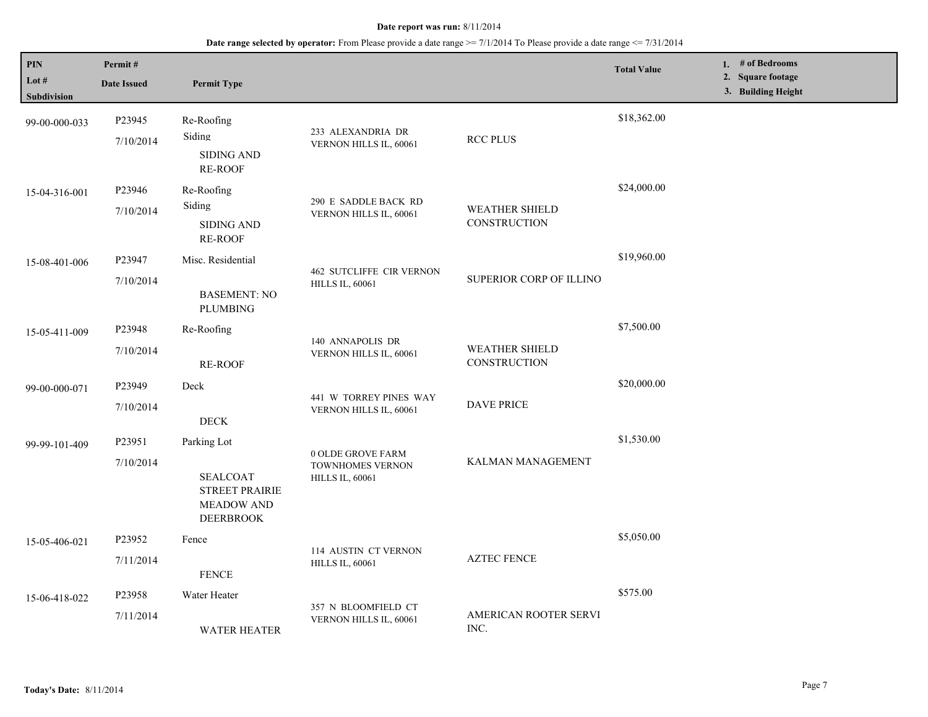| PIN<br>Lot #<br>Subdivision | Permit#<br><b>Date Issued</b> | <b>Permit Type</b>                                                                               |                                                                 |                                              | <b>Total Value</b> | 1. $#$ of Bedrooms<br>2. Square footage<br>3. Building Height |
|-----------------------------|-------------------------------|--------------------------------------------------------------------------------------------------|-----------------------------------------------------------------|----------------------------------------------|--------------------|---------------------------------------------------------------|
| 99-00-000-033               | P23945<br>7/10/2014           | Re-Roofing<br>Siding<br><b>SIDING AND</b><br><b>RE-ROOF</b>                                      | 233 ALEXANDRIA DR<br>VERNON HILLS IL, 60061                     | <b>RCC PLUS</b>                              | \$18,362.00        |                                                               |
| 15-04-316-001               | P23946<br>7/10/2014           | Re-Roofing<br>Siding<br>SIDING AND<br><b>RE-ROOF</b>                                             | 290 E SADDLE BACK RD<br>VERNON HILLS IL, 60061                  | <b>WEATHER SHIELD</b><br><b>CONSTRUCTION</b> | \$24,000.00        |                                                               |
| 15-08-401-006               | P23947<br>7/10/2014           | Misc. Residential<br><b>BASEMENT: NO</b><br><b>PLUMBING</b>                                      | <b>462 SUTCLIFFE CIR VERNON</b><br><b>HILLS IL, 60061</b>       | SUPERIOR CORP OF ILLINO                      | \$19,960.00        |                                                               |
| 15-05-411-009               | P23948<br>7/10/2014           | Re-Roofing<br><b>RE-ROOF</b>                                                                     | 140 ANNAPOLIS DR<br>VERNON HILLS IL, 60061                      | <b>WEATHER SHIELD</b><br>CONSTRUCTION        | \$7,500.00         |                                                               |
| 99-00-000-071               | P23949<br>7/10/2014           | Deck<br><b>DECK</b>                                                                              | 441 W TORREY PINES WAY<br>VERNON HILLS IL, 60061                | <b>DAVE PRICE</b>                            | \$20,000.00        |                                                               |
| 99-99-101-409               | P23951<br>7/10/2014           | Parking Lot<br><b>SEALCOAT</b><br><b>STREET PRAIRIE</b><br><b>MEADOW AND</b><br><b>DEERBROOK</b> | 0 OLDE GROVE FARM<br>TOWNHOMES VERNON<br><b>HILLS IL, 60061</b> | KALMAN MANAGEMENT                            | \$1,530.00         |                                                               |
| 15-05-406-021               | P23952<br>7/11/2014           | Fence<br><b>FENCE</b>                                                                            | 114 AUSTIN CT VERNON<br><b>HILLS IL, 60061</b>                  | <b>AZTEC FENCE</b>                           | \$5,050.00         |                                                               |
| 15-06-418-022               | P23958<br>7/11/2014           | Water Heater<br><b>WATER HEATER</b>                                                              | 357 N BLOOMFIELD CT<br>VERNON HILLS IL, 60061                   | AMERICAN ROOTER SERVI<br>INC.                | \$575.00           |                                                               |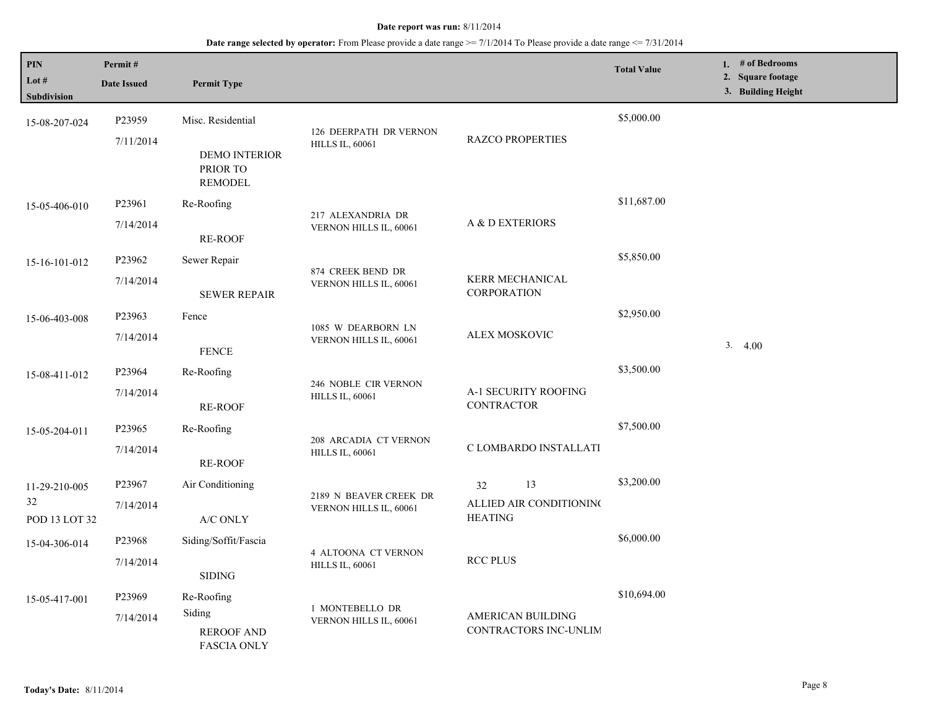| PIN<br>Lot #        | Permit#<br><b>Date Issued</b> | <b>Permit Type</b>                                 |                                                  |                                           | <b>Total Value</b> | 1. # of Bedrooms<br>2. Square footage<br>3. Building Height |
|---------------------|-------------------------------|----------------------------------------------------|--------------------------------------------------|-------------------------------------------|--------------------|-------------------------------------------------------------|
| Subdivision         |                               |                                                    |                                                  |                                           |                    |                                                             |
| 15-08-207-024       | P23959                        | Misc. Residential                                  |                                                  |                                           | \$5,000.00         |                                                             |
|                     | 7/11/2014                     | <b>DEMO INTERIOR</b><br>PRIOR TO<br><b>REMODEL</b> | 126 DEERPATH DR VERNON<br><b>HILLS IL, 60061</b> | <b>RAZCO PROPERTIES</b>                   |                    |                                                             |
| 15-05-406-010       | P23961                        | Re-Roofing                                         |                                                  |                                           | \$11,687.00        |                                                             |
|                     | 7/14/2014                     | <b>RE-ROOF</b>                                     | 217 ALEXANDRIA DR<br>VERNON HILLS IL, 60061      | A & D EXTERIORS                           |                    |                                                             |
| 15-16-101-012       | P23962                        | Sewer Repair                                       |                                                  |                                           | \$5,850.00         |                                                             |
|                     | 7/14/2014                     | <b>SEWER REPAIR</b>                                | 874 CREEK BEND DR<br>VERNON HILLS IL, 60061      | KERR MECHANICAL<br><b>CORPORATION</b>     |                    |                                                             |
| 15-06-403-008       | P23963                        | Fence                                              |                                                  |                                           | \$2,950.00         |                                                             |
|                     | 7/14/2014                     | <b>FENCE</b>                                       | 1085 W DEARBORN LN<br>VERNON HILLS IL, 60061     | ALEX MOSKOVIC                             |                    | 3.4.00                                                      |
| 15-08-411-012       | P23964                        | Re-Roofing                                         |                                                  |                                           | \$3,500.00         |                                                             |
|                     | 7/14/2014                     | <b>RE-ROOF</b>                                     | 246 NOBLE CIR VERNON<br><b>HILLS IL, 60061</b>   | A-1 SECURITY ROOFING<br><b>CONTRACTOR</b> |                    |                                                             |
| 15-05-204-011       | P23965                        | Re-Roofing                                         |                                                  |                                           | \$7,500.00         |                                                             |
|                     | 7/14/2014                     | <b>RE-ROOF</b>                                     | 208 ARCADIA CT VERNON<br><b>HILLS IL, 60061</b>  | C LOMBARDO INSTALLATI                     |                    |                                                             |
| 11-29-210-005       | P23967                        | Air Conditioning                                   |                                                  | 13<br>32                                  | \$3,200.00         |                                                             |
| 32<br>POD 13 LOT 32 | 7/14/2014                     | A/C ONLY                                           | 2189 N BEAVER CREEK DR<br>VERNON HILLS IL, 60061 | ALLIED AIR CONDITIONING<br><b>HEATING</b> |                    |                                                             |
| 15-04-306-014       | P23968                        | Siding/Soffit/Fascia                               |                                                  |                                           | \$6,000.00         |                                                             |
|                     | 7/14/2014                     | <b>SIDING</b>                                      | 4 ALTOONA CT VERNON<br><b>HILLS IL, 60061</b>    | <b>RCC PLUS</b>                           |                    |                                                             |
| 15-05-417-001       | P23969                        | Re-Roofing                                         |                                                  |                                           | \$10,694.00        |                                                             |
|                     | 7/14/2014                     | Siding                                             | 1 MONTEBELLO DR<br>VERNON HILLS IL, 60061        | <b>AMERICAN BUILDING</b>                  |                    |                                                             |
|                     |                               | <b>REROOF AND</b><br><b>FASCIA ONLY</b>            |                                                  | CONTRACTORS INC-UNLIM                     |                    |                                                             |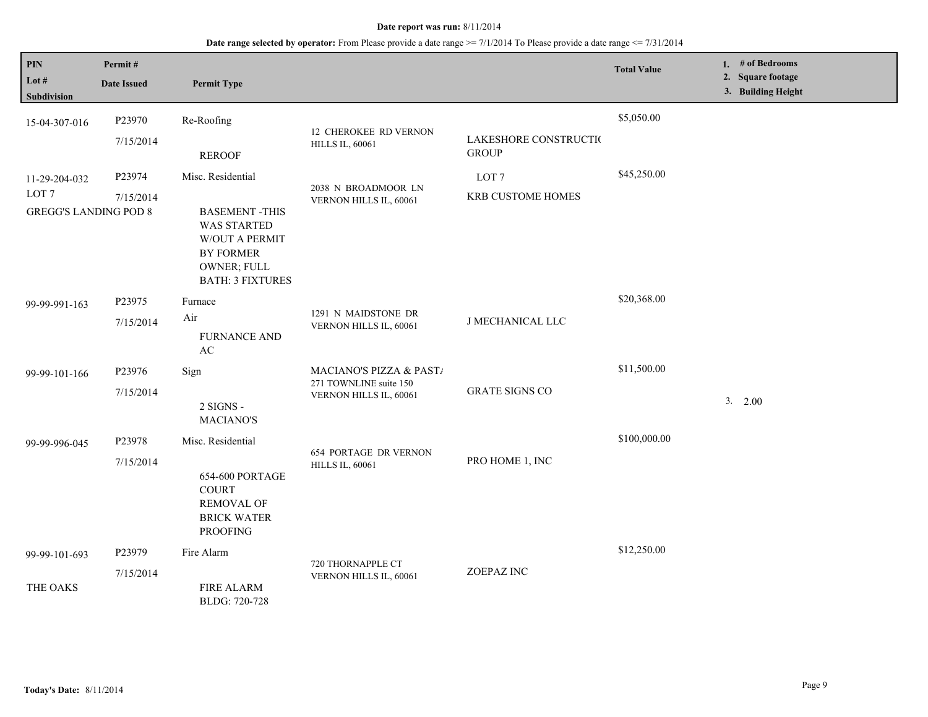| PIN<br>Lot $#$<br>Subdivision                                     | Permit#<br><b>Date Issued</b> | <b>Permit Type</b>                                                                                                                       |                                                                             |                                       | <b>Total Value</b> | 1. # of Bedrooms<br>2. Square footage<br>3. Building Height |
|-------------------------------------------------------------------|-------------------------------|------------------------------------------------------------------------------------------------------------------------------------------|-----------------------------------------------------------------------------|---------------------------------------|--------------------|-------------------------------------------------------------|
| 15-04-307-016                                                     | P23970<br>7/15/2014           | Re-Roofing<br><b>REROOF</b>                                                                                                              | <b>12 CHEROKEE RD VERNON</b><br><b>HILLS IL, 60061</b>                      | LAKESHORE CONSTRUCTIO<br><b>GROUP</b> | \$5,050.00         |                                                             |
| 11-29-204-032<br>LOT <sub>7</sub><br><b>GREGG'S LANDING POD 8</b> | P23974<br>7/15/2014           | Misc. Residential<br><b>BASEMENT-THIS</b><br><b>WAS STARTED</b><br>W/OUT A PERMIT<br>BY FORMER<br>OWNER; FULL<br><b>BATH: 3 FIXTURES</b> | 2038 N BROADMOOR LN<br>VERNON HILLS IL, 60061                               | LOT <sub>7</sub><br>KRB CUSTOME HOMES | \$45,250.00        |                                                             |
| 99-99-991-163                                                     | P23975<br>7/15/2014           | Furnace<br>Air<br><b>FURNANCE AND</b><br>AC                                                                                              | 1291 N MAIDSTONE DR<br>VERNON HILLS IL, 60061                               | <b>J MECHANICAL LLC</b>               | \$20,368.00        |                                                             |
| 99-99-101-166                                                     | P23976<br>7/15/2014           | Sign<br>2 SIGNS -<br><b>MACIANO'S</b>                                                                                                    | MACIANO'S PIZZA & PAST/<br>271 TOWNLINE suite 150<br>VERNON HILLS IL, 60061 | <b>GRATE SIGNS CO</b>                 | \$11,500.00        | 3. 2.00                                                     |
| 99-99-996-045                                                     | P23978<br>7/15/2014           | Misc. Residential<br>654-600 PORTAGE<br><b>COURT</b><br><b>REMOVAL OF</b><br><b>BRICK WATER</b><br><b>PROOFING</b>                       | <b>654 PORTAGE DR VERNON</b><br><b>HILLS IL, 60061</b>                      | PRO HOME 1, INC                       | \$100,000.00       |                                                             |
| 99-99-101-693<br>THE OAKS                                         | P23979<br>7/15/2014           | Fire Alarm<br><b>FIRE ALARM</b>                                                                                                          | 720 THORNAPPLE CT<br>VERNON HILLS IL, 60061                                 | ZOEPAZ INC                            | \$12,250.00        |                                                             |
|                                                                   |                               | BLDG: 720-728                                                                                                                            |                                                                             |                                       |                    |                                                             |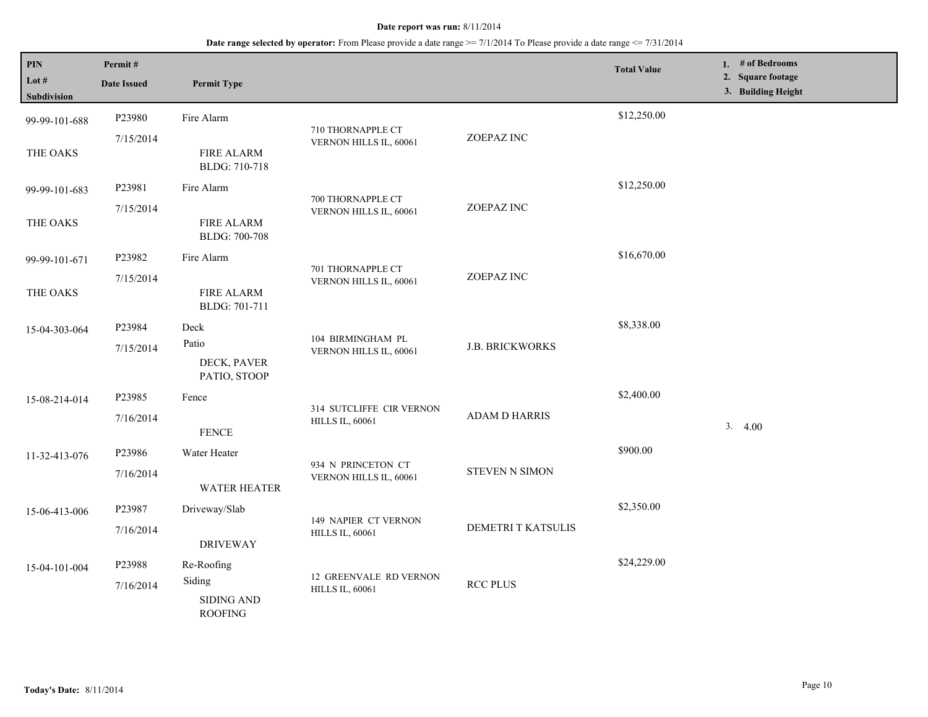| PIN<br>Lot #<br><b>Subdivision</b> | Permit#<br><b>Date Issued</b>                                                                    | <b>Permit Type</b>                  |                                                    |                      | <b>Total Value</b> |  | 1. # of Bedrooms<br>2. Square footage<br>3. Building Height |
|------------------------------------|--------------------------------------------------------------------------------------------------|-------------------------------------|----------------------------------------------------|----------------------|--------------------|--|-------------------------------------------------------------|
| 99-99-101-688                      | P23980                                                                                           | Fire Alarm                          |                                                    |                      | \$12,250.00        |  |                                                             |
| THE OAKS                           | 7/15/2014                                                                                        | <b>FIRE ALARM</b><br>BLDG: 710-718  | 710 THORNAPPLE CT<br>VERNON HILLS IL, 60061        | ZOEPAZ INC           |                    |  |                                                             |
| 99-99-101-683                      | P23981                                                                                           | Fire Alarm                          |                                                    |                      | \$12,250.00        |  |                                                             |
| THE OAKS                           | 7/15/2014                                                                                        | <b>FIRE ALARM</b><br>BLDG: 700-708  | 700 THORNAPPLE CT<br>VERNON HILLS IL, 60061        | ZOEPAZ INC           |                    |  |                                                             |
| 99-99-101-671                      | P23982                                                                                           | Fire Alarm                          | 701 THORNAPPLE CT                                  |                      | \$16,670.00        |  |                                                             |
| THE OAKS                           | 7/15/2014                                                                                        | <b>FIRE ALARM</b><br>BLDG: 701-711  | VERNON HILLS IL, 60061                             | ZOEPAZ INC           |                    |  |                                                             |
| 15-04-303-064                      | P23984                                                                                           | Deck                                |                                                    |                      | \$8,338.00         |  |                                                             |
|                                    | 104 BIRMINGHAM PL<br>Patio<br>7/15/2014<br>VERNON HILLS IL, 60061<br>DECK, PAVER<br>PATIO, STOOP | <b>J.B. BRICKWORKS</b>              |                                                    |                      |                    |  |                                                             |
| 15-08-214-014                      | P23985                                                                                           | Fence                               |                                                    |                      | \$2,400.00         |  |                                                             |
|                                    | 7/16/2014                                                                                        | <b>FENCE</b>                        | 314 SUTCLIFFE CIR VERNON<br><b>HILLS IL, 60061</b> | <b>ADAM D HARRIS</b> |                    |  | 3.4.00                                                      |
| 11-32-413-076                      | P23986                                                                                           | Water Heater                        | 934 N PRINCETON CT                                 |                      | \$900.00           |  |                                                             |
|                                    | 7/16/2014                                                                                        | <b>WATER HEATER</b>                 | VERNON HILLS IL, 60061                             | STEVEN N SIMON       |                    |  |                                                             |
| 15-06-413-006                      | P23987                                                                                           | Driveway/Slab                       | <b>149 NAPIER CT VERNON</b>                        |                      | \$2,350.00         |  |                                                             |
|                                    | 7/16/2014                                                                                        | <b>DRIVEWAY</b>                     | <b>HILLS IL, 60061</b>                             | DEMETRI T KATSULIS   |                    |  |                                                             |
| 15-04-101-004                      | P23988                                                                                           | Re-Roofing                          |                                                    | <b>RCC PLUS</b>      | \$24,229.00        |  |                                                             |
|                                    | 7/16/2014                                                                                        | Siding                              | 12 GREENVALE RD VERNON<br><b>HILLS IL, 60061</b>   |                      |                    |  |                                                             |
|                                    |                                                                                                  | <b>SIDING AND</b><br><b>ROOFING</b> |                                                    |                      |                    |  |                                                             |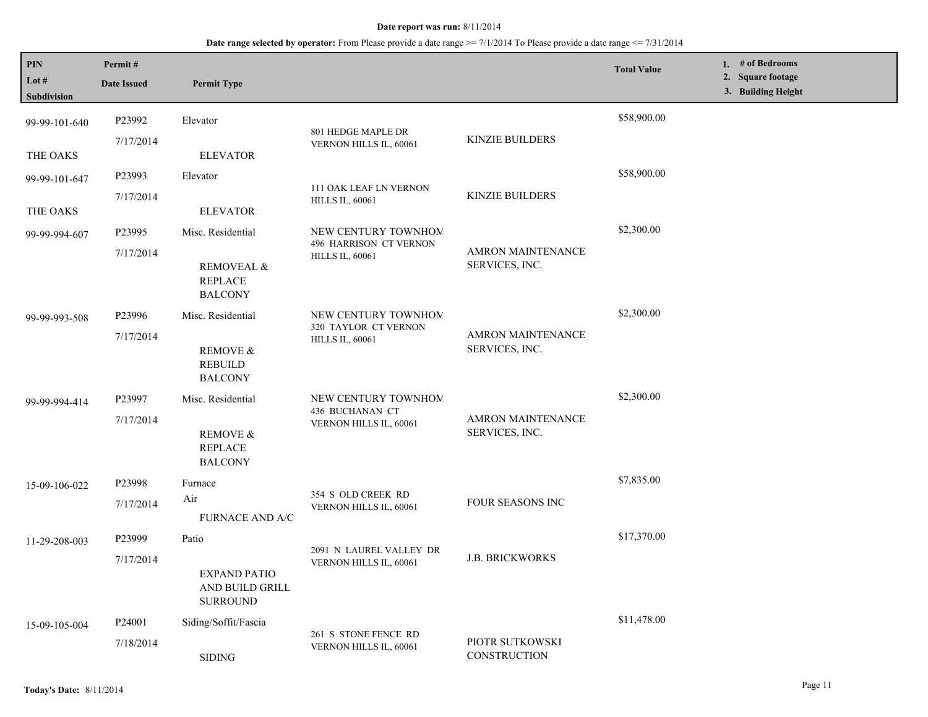| PIN<br>Lot #<br>Subdivision | Permit#<br><b>Date Issued</b>   | <b>Permit Type</b>                                                             |                                                                         |                                            | <b>Total Value</b> | 1. $#$ of Bedrooms<br>2. Square footage<br>3. Building Height |
|-----------------------------|---------------------------------|--------------------------------------------------------------------------------|-------------------------------------------------------------------------|--------------------------------------------|--------------------|---------------------------------------------------------------|
| 99-99-101-640               | P23992                          | Elevator                                                                       | 801 HEDGE MAPLE DR                                                      |                                            | \$58,900.00        |                                                               |
| THE OAKS                    | 7/17/2014                       | <b>ELEVATOR</b>                                                                | VERNON HILLS IL, 60061                                                  | <b>KINZIE BUILDERS</b>                     |                    |                                                               |
| 99-99-101-647               | P23993                          | Elevator                                                                       | 111 OAK LEAF LN VERNON                                                  |                                            | \$58,900.00        |                                                               |
| THE OAKS                    | 7/17/2014                       | <b>ELEVATOR</b>                                                                | <b>HILLS IL, 60061</b>                                                  | <b>KINZIE BUILDERS</b>                     |                    |                                                               |
| 99-99-994-607               | P23995<br>7/17/2014             | Misc. Residential<br><b>REMOVEAL &amp;</b><br><b>REPLACE</b><br><b>BALCONY</b> | NEW CENTURY TOWNHOM<br>496 HARRISON CT VERNON<br><b>HILLS IL, 60061</b> | <b>AMRON MAINTENANCE</b><br>SERVICES, INC. | \$2,300.00         |                                                               |
| 99-99-993-508               | P23996<br>7/17/2014             | Misc. Residential<br>REMOVE &<br><b>REBUILD</b><br><b>BALCONY</b>              | NEW CENTURY TOWNHOM<br>320 TAYLOR CT VERNON<br><b>HILLS IL, 60061</b>   | AMRON MAINTENANCE<br>SERVICES, INC.        | \$2,300.00         |                                                               |
| 99-99-994-414               | P23997<br>7/17/2014             | Misc. Residential<br><b>REMOVE &amp;</b><br><b>REPLACE</b><br><b>BALCONY</b>   | NEW CENTURY TOWNHOM<br>436 BUCHANAN CT<br>VERNON HILLS IL, 60061        | <b>AMRON MAINTENANCE</b><br>SERVICES, INC. | \$2,300.00         |                                                               |
| 15-09-106-022               | P23998<br>7/17/2014             | Furnace<br>Air<br><b>FURNACE AND A/C</b>                                       | 354 S OLD CREEK RD<br>VERNON HILLS IL, 60061                            | <b>FOUR SEASONS INC</b>                    | \$7,835.00         |                                                               |
| 11-29-208-003               | P23999<br>7/17/2014             | Patio<br><b>EXPAND PATIO</b><br>AND BUILD GRILL<br><b>SURROUND</b>             | 2091 N LAUREL VALLEY DR<br>VERNON HILLS IL, 60061                       | <b>J.B. BRICKWORKS</b>                     | \$17,370.00        |                                                               |
| 15-09-105-004               | P <sub>24001</sub><br>7/18/2014 | Siding/Soffit/Fascia<br><b>SIDING</b>                                          | 261 S STONE FENCE RD<br>VERNON HILLS IL, 60061                          | PIOTR SUTKOWSKI<br><b>CONSTRUCTION</b>     | \$11,478.00        |                                                               |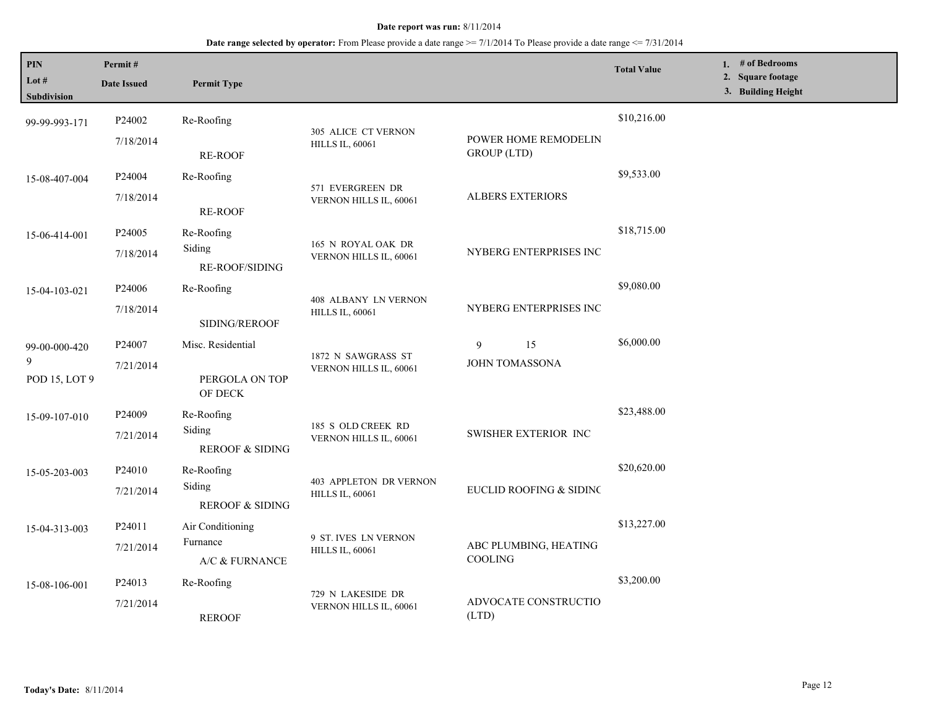| PIN<br>Lot $#$<br>Subdivision       | Permit#<br><b>Date Issued</b>   | <b>Permit Type</b>                                 |                                                         |                                            | <b>Total Value</b> | 1. # of Bedrooms<br>2. Square footage<br>3. Building Height |
|-------------------------------------|---------------------------------|----------------------------------------------------|---------------------------------------------------------|--------------------------------------------|--------------------|-------------------------------------------------------------|
| 99-99-993-171                       | P24002<br>7/18/2014             | Re-Roofing<br><b>RE-ROOF</b>                       | 305 ALICE CT VERNON<br><b>HILLS IL, 60061</b>           | POWER HOME REMODELIN<br><b>GROUP</b> (LTD) | \$10,216.00        |                                                             |
| 15-08-407-004                       | P <sub>24004</sub><br>7/18/2014 | Re-Roofing<br><b>RE-ROOF</b>                       | 571 EVERGREEN DR<br>VERNON HILLS IL, 60061              | <b>ALBERS EXTERIORS</b>                    | \$9,533.00         |                                                             |
| 15-06-414-001                       | P24005<br>7/18/2014             | Re-Roofing<br>Siding<br><b>RE-ROOF/SIDING</b>      | 165 N ROYAL OAK DR<br>VERNON HILLS IL, 60061            | NYBERG ENTERPRISES INC                     | \$18,715.00        |                                                             |
| 15-04-103-021                       | P <sub>24006</sub><br>7/18/2014 | Re-Roofing<br>SIDING/REROOF                        | 408 ALBANY LN VERNON<br><b>HILLS IL, 60061</b>          | NYBERG ENTERPRISES INC                     | \$9,080.00         |                                                             |
| 99-00-000-420<br>9<br>POD 15, LOT 9 | P24007<br>7/21/2014             | Misc. Residential<br>PERGOLA ON TOP<br>OF DECK     | 1872 N SAWGRASS ST<br>VERNON HILLS IL, 60061            | 15<br>9<br><b>JOHN TOMASSONA</b>           | \$6,000.00         |                                                             |
| 15-09-107-010                       | P <sub>24009</sub><br>7/21/2014 | Re-Roofing<br>Siding<br><b>REROOF &amp; SIDING</b> | 185 S OLD CREEK RD<br>VERNON HILLS IL, 60061            | SWISHER EXTERIOR INC                       | \$23,488.00        |                                                             |
| 15-05-203-003                       | P24010<br>7/21/2014             | Re-Roofing<br>Siding<br><b>REROOF &amp; SIDING</b> | <b>403 APPLETON DR VERNON</b><br><b>HILLS IL, 60061</b> | EUCLID ROOFING & SIDINC                    | \$20,620.00        |                                                             |
| 15-04-313-003                       | P24011<br>7/21/2014             | Air Conditioning<br>Furnance<br>A/C & FURNANCE     | 9 ST. IVES LN VERNON<br><b>HILLS IL, 60061</b>          | ABC PLUMBING, HEATING<br><b>COOLING</b>    | \$13,227.00        |                                                             |
| 15-08-106-001                       | P24013<br>7/21/2014             | Re-Roofing<br><b>REROOF</b>                        | 729 N LAKESIDE DR<br>VERNON HILLS IL, 60061             | ADVOCATE CONSTRUCTIO<br>(LTD)              | \$3,200.00         |                                                             |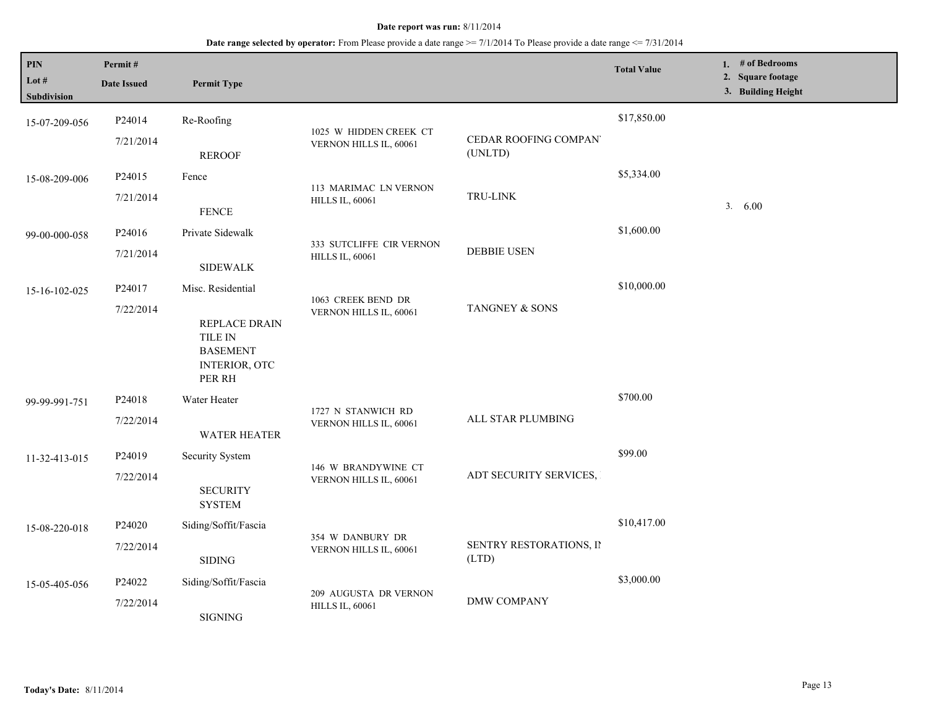| <b>PIN</b><br>Lot $#$<br>Subdivision | Permit#<br><b>Date Issued</b>   | <b>Permit Type</b>                                                                                        |                                                    |                                  | <b>Total Value</b> | 1. # of Bedrooms<br>2. Square footage<br>3. Building Height |
|--------------------------------------|---------------------------------|-----------------------------------------------------------------------------------------------------------|----------------------------------------------------|----------------------------------|--------------------|-------------------------------------------------------------|
| 15-07-209-056                        | P24014<br>7/21/2014             | Re-Roofing<br><b>REROOF</b>                                                                               | 1025 W HIDDEN CREEK CT<br>VERNON HILLS IL, 60061   | CEDAR ROOFING COMPAN<br>(UNLTD)  | \$17,850.00        |                                                             |
| 15-08-209-006                        | P24015<br>7/21/2014             | Fence<br>${\tt FENCE}$                                                                                    | 113 MARIMAC LN VERNON<br><b>HILLS IL, 60061</b>    | TRU-LINK                         | \$5,334.00         | 3. 6.00                                                     |
| 99-00-000-058                        | P24016<br>7/21/2014             | Private Sidewalk<br><b>SIDEWALK</b>                                                                       | 333 SUTCLIFFE CIR VERNON<br><b>HILLS IL, 60061</b> | <b>DEBBIE USEN</b>               | \$1,600.00         |                                                             |
| 15-16-102-025                        | P24017<br>7/22/2014             | Misc. Residential<br>REPLACE DRAIN<br><b>TILE IN</b><br><b>BASEMENT</b><br><b>INTERIOR, OTC</b><br>PER RH | 1063 CREEK BEND DR<br>VERNON HILLS IL, 60061       | TANGNEY & SONS                   | \$10,000.00        |                                                             |
| 99-99-991-751                        | P24018<br>7/22/2014             | Water Heater<br><b>WATER HEATER</b>                                                                       | 1727 N STANWICH RD<br>VERNON HILLS IL, 60061       | ALL STAR PLUMBING                | \$700.00           |                                                             |
| 11-32-413-015                        | P24019<br>7/22/2014             | Security System<br><b>SECURITY</b><br><b>SYSTEM</b>                                                       | 146 W BRANDYWINE CT<br>VERNON HILLS IL, 60061      | ADT SECURITY SERVICES,           | \$99.00            |                                                             |
| 15-08-220-018                        | P24020<br>7/22/2014             | Siding/Soffit/Fascia<br><b>SIDING</b>                                                                     | 354 W DANBURY DR<br>VERNON HILLS IL, 60061         | SENTRY RESTORATIONS, II<br>(LTD) | \$10,417.00        |                                                             |
| 15-05-405-056                        | P <sub>24022</sub><br>7/22/2014 | Siding/Soffit/Fascia<br><b>SIGNING</b>                                                                    | 209 AUGUSTA DR VERNON<br><b>HILLS IL, 60061</b>    | <b>DMW COMPANY</b>               | \$3,000.00         |                                                             |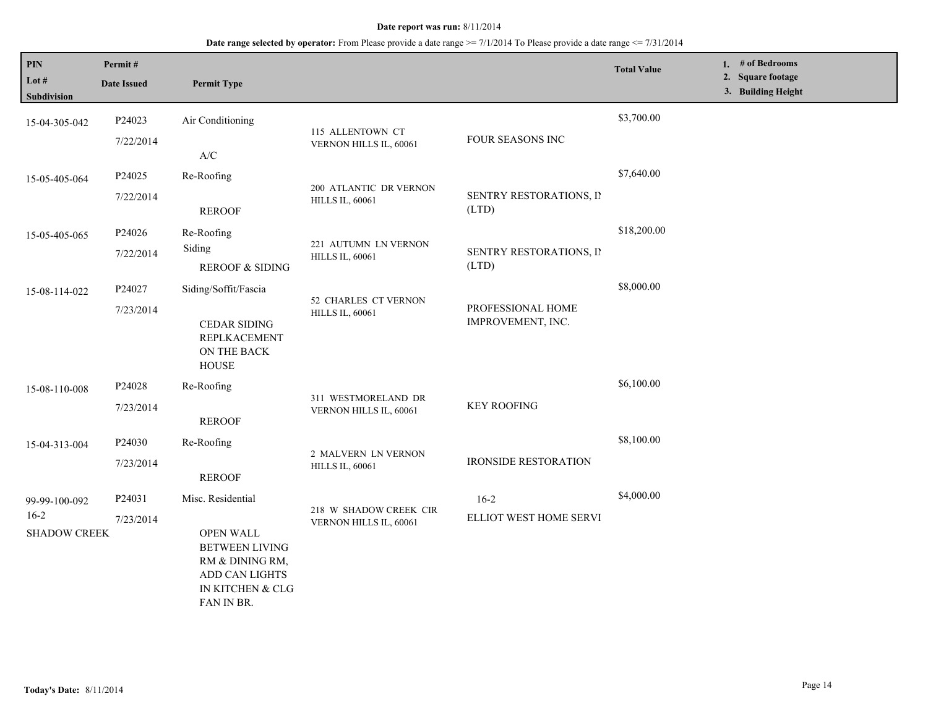| PIN<br>Lot #<br><b>Subdivision</b>             | Permit#<br><b>Date Issued</b> | <b>Permit Type</b>                                                                                                                    |                                                  |                                        | <b>Total Value</b> | 1. # of Bedrooms<br>2. Square footage<br>3. Building Height |
|------------------------------------------------|-------------------------------|---------------------------------------------------------------------------------------------------------------------------------------|--------------------------------------------------|----------------------------------------|--------------------|-------------------------------------------------------------|
| 15-04-305-042                                  | P24023<br>7/22/2014           | Air Conditioning<br>$\mathbf{A}/\mathbf{C}$                                                                                           | 115 ALLENTOWN CT<br>VERNON HILLS IL, 60061       | FOUR SEASONS INC                       | \$3,700.00         |                                                             |
| 15-05-405-064                                  | P24025<br>7/22/2014           | Re-Roofing<br><b>REROOF</b>                                                                                                           | 200 ATLANTIC DR VERNON<br><b>HILLS IL, 60061</b> | SENTRY RESTORATIONS, II<br>(LTD)       | \$7,640.00         |                                                             |
| 15-05-405-065                                  | P24026<br>7/22/2014           | Re-Roofing<br>Siding<br><b>REROOF &amp; SIDING</b>                                                                                    | 221 AUTUMN LN VERNON<br><b>HILLS IL, 60061</b>   | SENTRY RESTORATIONS, II<br>(LTD)       | \$18,200.00        |                                                             |
| 15-08-114-022                                  | P24027<br>7/23/2014           | Siding/Soffit/Fascia<br><b>CEDAR SIDING</b><br>REPLKACEMENT<br>ON THE BACK<br><b>HOUSE</b>                                            | 52 CHARLES CT VERNON<br><b>HILLS IL, 60061</b>   | PROFESSIONAL HOME<br>IMPROVEMENT, INC. | \$8,000.00         |                                                             |
| 15-08-110-008                                  | P24028<br>7/23/2014           | Re-Roofing<br><b>REROOF</b>                                                                                                           | 311 WESTMORELAND DR<br>VERNON HILLS IL, 60061    | <b>KEY ROOFING</b>                     | \$6,100.00         |                                                             |
| 15-04-313-004                                  | P24030<br>7/23/2014           | Re-Roofing<br><b>REROOF</b>                                                                                                           | 2 MALVERN LN VERNON<br><b>HILLS IL, 60061</b>    | <b>IRONSIDE RESTORATION</b>            | \$8,100.00         |                                                             |
| 99-99-100-092<br>$16-2$<br><b>SHADOW CREEK</b> | P24031<br>7/23/2014           | Misc. Residential<br><b>OPEN WALL</b><br><b>BETWEEN LIVING</b><br>RM & DINING RM,<br>ADD CAN LIGHTS<br>IN KITCHEN & CLG<br>FAN IN BR. | 218 W SHADOW CREEK CIR<br>VERNON HILLS IL, 60061 | $16 - 2$<br>ELLIOT WEST HOME SERVI     | \$4,000.00         |                                                             |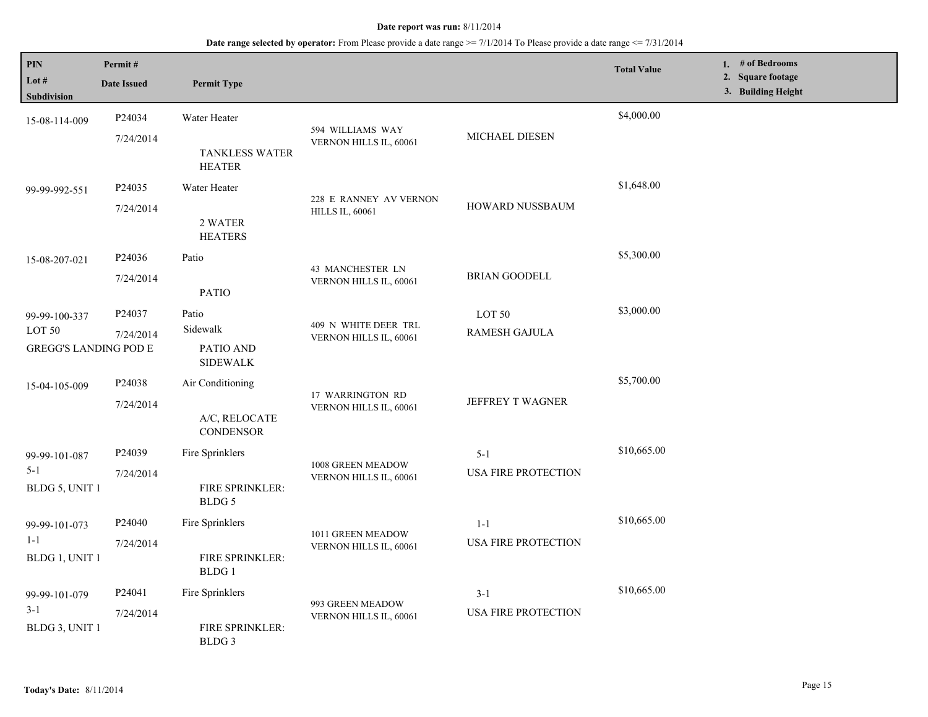| PIN<br>Lot #<br>Subdivision                                        | Permit#<br><b>Date Issued</b>   | <b>Permit Type</b>                                      |                                                  |                                       | <b>Total Value</b> | 1. $#$ of Bedrooms<br>2. Square footage<br>3. Building Height |
|--------------------------------------------------------------------|---------------------------------|---------------------------------------------------------|--------------------------------------------------|---------------------------------------|--------------------|---------------------------------------------------------------|
| 15-08-114-009                                                      | P24034<br>7/24/2014             | Water Heater<br><b>TANKLESS WATER</b>                   | 594 WILLIAMS WAY<br>VERNON HILLS IL, 60061       | MICHAEL DIESEN                        | \$4,000.00         |                                                               |
| 99-99-992-551                                                      | P24035<br>7/24/2014             | <b>HEATER</b><br>Water Heater<br>2 WATER                | 228 E RANNEY AV VERNON<br><b>HILLS IL, 60061</b> | <b>HOWARD NUSSBAUM</b>                | \$1,648.00         |                                                               |
| 15-08-207-021                                                      | P24036<br>7/24/2014             | <b>HEATERS</b><br>Patio<br><b>PATIO</b>                 | 43 MANCHESTER LN<br>VERNON HILLS IL, 60061       | <b>BRIAN GOODELL</b>                  | \$5,300.00         |                                                               |
| 99-99-100-337<br>LOT <sub>50</sub><br><b>GREGG'S LANDING POD E</b> | P24037<br>7/24/2014             | Patio<br>Sidewalk<br>PATIO AND<br><b>SIDEWALK</b>       | 409 N WHITE DEER TRL<br>VERNON HILLS IL, 60061   | LOT 50<br>RAMESH GAJULA               | \$3,000.00         |                                                               |
| 15-04-105-009                                                      | P24038<br>7/24/2014             | Air Conditioning<br>A/C, RELOCATE<br><b>CONDENSOR</b>   | 17 WARRINGTON RD<br>VERNON HILLS IL, 60061       | JEFFREY T WAGNER                      | \$5,700.00         |                                                               |
| 99-99-101-087<br>$5 - 1$<br>BLDG 5, UNIT 1                         | P24039<br>7/24/2014             | Fire Sprinklers<br>FIRE SPRINKLER:<br>BLDG 5            | 1008 GREEN MEADOW<br>VERNON HILLS IL, 60061      | $5 - 1$<br>USA FIRE PROTECTION        | \$10,665.00        |                                                               |
| 99-99-101-073<br>$1 - 1$<br>BLDG 1, UNIT 1                         | P <sub>24040</sub><br>7/24/2014 | Fire Sprinklers<br><b>FIRE SPRINKLER:</b><br>BLDG 1     | 1011 GREEN MEADOW<br>VERNON HILLS IL, 60061      | $1 - 1$<br><b>USA FIRE PROTECTION</b> | \$10,665.00        |                                                               |
| 99-99-101-079<br>$3-1$<br>BLDG 3, UNIT 1                           | P24041<br>7/24/2014             | Fire Sprinklers<br>FIRE SPRINKLER:<br>BLDG <sub>3</sub> | 993 GREEN MEADOW<br>VERNON HILLS IL, 60061       | $3-1$<br><b>USA FIRE PROTECTION</b>   | \$10,665.00        |                                                               |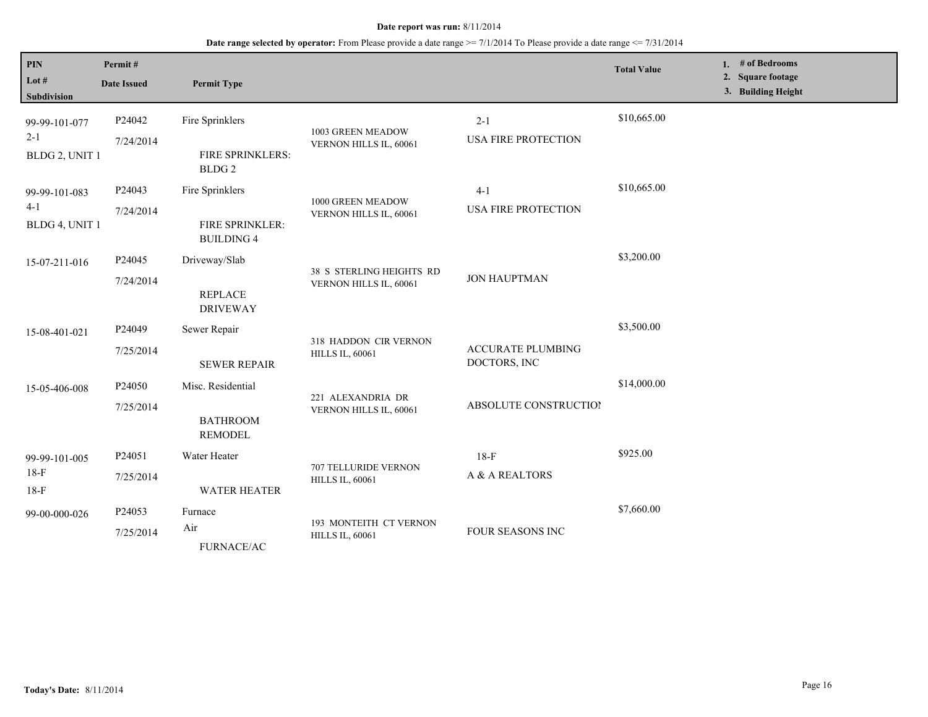### **Date range selected by operator:** From Please provide a date range >= 7/1/2014 To Please provide a date range <= 7/31/2014

| PIN<br>Lot #<br><b>Subdivision</b>         | Permit#<br><b>Date Issued</b> | <b>Permit Type</b>                                       |                                                    |                                          | <b>Total Value</b> | # of Bedrooms<br>2. Square footage<br>3. Building Height |
|--------------------------------------------|-------------------------------|----------------------------------------------------------|----------------------------------------------------|------------------------------------------|--------------------|----------------------------------------------------------|
| 99-99-101-077<br>$2 - 1$<br>BLDG 2, UNIT 1 | P24042<br>7/24/2014           | Fire Sprinklers<br>FIRE SPRINKLERS:<br>BLDG <sub>2</sub> | 1003 GREEN MEADOW<br>VERNON HILLS IL, 60061        | $2 - 1$<br><b>USA FIRE PROTECTION</b>    | \$10,665.00        |                                                          |
| 99-99-101-083<br>$4 - 1$<br>BLDG 4, UNIT 1 | P24043<br>7/24/2014           | Fire Sprinklers<br>FIRE SPRINKLER:<br><b>BUILDING 4</b>  | 1000 GREEN MEADOW<br>VERNON HILLS IL, 60061        | $4 - 1$<br><b>USA FIRE PROTECTION</b>    | \$10,665.00        |                                                          |
| 15-07-211-016                              | P24045<br>7/24/2014           | Driveway/Slab<br><b>REPLACE</b><br><b>DRIVEWAY</b>       | 38 S STERLING HEIGHTS RD<br>VERNON HILLS IL, 60061 | <b>JON HAUPTMAN</b>                      | \$3,200.00         |                                                          |
| 15-08-401-021                              | P24049<br>7/25/2014           | Sewer Repair<br><b>SEWER REPAIR</b>                      | 318 HADDON CIR VERNON<br><b>HILLS IL, 60061</b>    | <b>ACCURATE PLUMBING</b><br>DOCTORS, INC | \$3,500.00         |                                                          |
| 15-05-406-008                              | P24050<br>7/25/2014           | Misc. Residential<br><b>BATHROOM</b><br><b>REMODEL</b>   | 221 ALEXANDRIA DR<br>VERNON HILLS IL, 60061        | <b>ABSOLUTE CONSTRUCTION</b>             | \$14,000.00        |                                                          |
| 99-99-101-005<br>$18-F$<br>$18-F$          | P24051<br>7/25/2014           | Water Heater<br><b>WATER HEATER</b>                      | 707 TELLURIDE VERNON<br><b>HILLS IL, 60061</b>     | $18-F$<br>A & A REALTORS                 | \$925.00           |                                                          |
| 99-00-000-026                              | P24053<br>7/25/2014           | Furnace<br>Air<br><b>FURNACE/AC</b>                      | 193 MONTEITH CT VERNON<br><b>HILLS IL, 60061</b>   | FOUR SEASONS INC                         | \$7,660.00         |                                                          |

 $\mathsf{I}$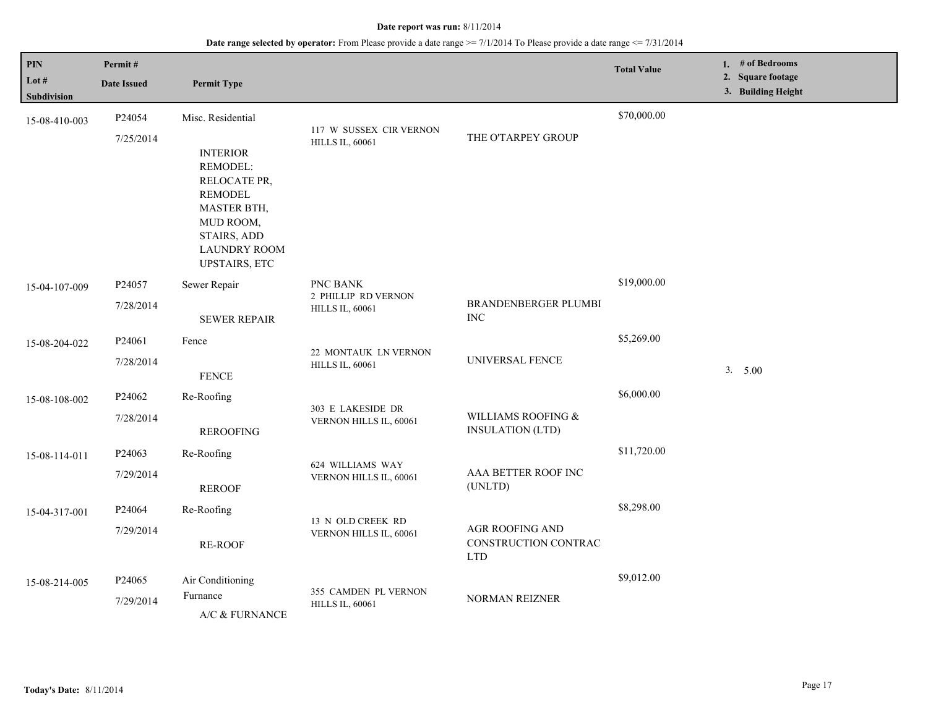| PIN<br>Lot #<br><b>Subdivision</b> | Permit#<br><b>Date Issued</b> | <b>Permit Type</b>                                                                                                                                             |                                                           |                                                              | <b>Total Value</b> | 1. # of Bedrooms<br>2. Square footage<br>3. Building Height |
|------------------------------------|-------------------------------|----------------------------------------------------------------------------------------------------------------------------------------------------------------|-----------------------------------------------------------|--------------------------------------------------------------|--------------------|-------------------------------------------------------------|
| 15-08-410-003                      | P24054                        | Misc. Residential                                                                                                                                              |                                                           |                                                              | \$70,000.00        |                                                             |
|                                    | 7/25/2014                     | <b>INTERIOR</b><br>REMODEL:<br>RELOCATE PR,<br><b>REMODEL</b><br><b>MASTER BTH,</b><br>MUD ROOM,<br>STAIRS, ADD<br><b>LAUNDRY ROOM</b><br><b>UPSTAIRS, ETC</b> | 117 W SUSSEX CIR VERNON<br><b>HILLS IL, 60061</b>         | THE O'TARPEY GROUP                                           |                    |                                                             |
| 15-04-107-009                      | P24057                        | Sewer Repair                                                                                                                                                   | PNC BANK<br>2 PHILLIP RD VERNON<br><b>HILLS IL, 60061</b> |                                                              | \$19,000.00        |                                                             |
|                                    | 7/28/2014                     | <b>SEWER REPAIR</b>                                                                                                                                            |                                                           | BRANDENBERGER PLUMBI<br><b>INC</b>                           |                    |                                                             |
| 15-08-204-022                      | P24061                        | Fence                                                                                                                                                          | 22 MONTAUK LN VERNON<br><b>HILLS IL, 60061</b>            | UNIVERSAL FENCE                                              | \$5,269.00         |                                                             |
|                                    | 7/28/2014                     | <b>FENCE</b>                                                                                                                                                   |                                                           |                                                              |                    | 3. 5.00                                                     |
| 15-08-108-002                      | P24062                        | Re-Roofing                                                                                                                                                     | 303 E LAKESIDE DR<br>VERNON HILLS IL, 60061               |                                                              | \$6,000.00         |                                                             |
|                                    | 7/28/2014                     | <b>REROOFING</b>                                                                                                                                               |                                                           | WILLIAMS ROOFING &<br><b>INSULATION (LTD)</b>                |                    |                                                             |
| 15-08-114-011                      | P24063                        | Re-Roofing                                                                                                                                                     |                                                           |                                                              | \$11,720.00        |                                                             |
|                                    | 7/29/2014                     | <b>REROOF</b>                                                                                                                                                  | 624 WILLIAMS WAY<br>VERNON HILLS IL, 60061                | AAA BETTER ROOF INC<br>(UNLTD)                               |                    |                                                             |
| 15-04-317-001                      | P24064                        | Re-Roofing                                                                                                                                                     |                                                           |                                                              | \$8,298.00         |                                                             |
|                                    | 7/29/2014                     | RE-ROOF                                                                                                                                                        | 13 N OLD CREEK RD<br>VERNON HILLS IL, 60061               | <b>AGR ROOFING AND</b><br>CONSTRUCTION CONTRAC<br><b>LTD</b> |                    |                                                             |
| 15-08-214-005                      | P24065                        | Air Conditioning                                                                                                                                               |                                                           |                                                              | \$9,012.00         |                                                             |
|                                    | 7/29/2014                     | Furnance<br>A/C & FURNANCE                                                                                                                                     | 355 CAMDEN PL VERNON<br><b>HILLS IL, 60061</b>            | <b>NORMAN REIZNER</b>                                        |                    |                                                             |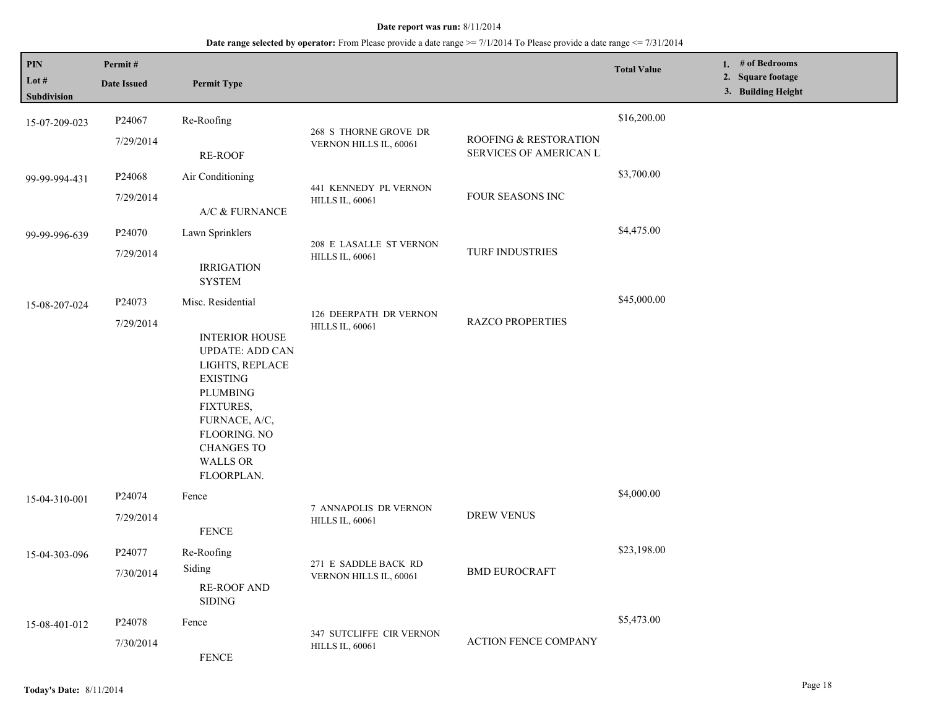| PIN<br>Lot #<br>Subdivision | Permit#<br><b>Date Issued</b> | <b>Permit Type</b>                                                                                                                                                                                                                       |                                                    |                                                 | <b>Total Value</b> | 1. # of Bedrooms<br>2. Square footage<br>3. Building Height |
|-----------------------------|-------------------------------|------------------------------------------------------------------------------------------------------------------------------------------------------------------------------------------------------------------------------------------|----------------------------------------------------|-------------------------------------------------|--------------------|-------------------------------------------------------------|
| 15-07-209-023               | P24067<br>7/29/2014           | Re-Roofing<br><b>RE-ROOF</b>                                                                                                                                                                                                             | 268 S THORNE GROVE DR<br>VERNON HILLS IL, 60061    | ROOFING & RESTORATION<br>SERVICES OF AMERICAN L | \$16,200.00        |                                                             |
| 99-99-994-431               | P24068<br>7/29/2014           | Air Conditioning<br>A/C & FURNANCE                                                                                                                                                                                                       | 441 KENNEDY PL VERNON<br><b>HILLS IL, 60061</b>    | FOUR SEASONS INC                                | \$3,700.00         |                                                             |
| 99-99-996-639               | P24070<br>7/29/2014           | Lawn Sprinklers<br><b>IRRIGATION</b><br><b>SYSTEM</b>                                                                                                                                                                                    | 208 E LASALLE ST VERNON<br><b>HILLS IL, 60061</b>  | TURF INDUSTRIES                                 | \$4,475.00         |                                                             |
| 15-08-207-024               | P24073<br>7/29/2014           | Misc. Residential<br><b>INTERIOR HOUSE</b><br><b>UPDATE: ADD CAN</b><br>LIGHTS, REPLACE<br><b>EXISTING</b><br><b>PLUMBING</b><br>FIXTURES,<br>FURNACE, A/C,<br><b>FLOORING. NO</b><br><b>CHANGES TO</b><br><b>WALLS OR</b><br>FLOORPLAN. | 126 DEERPATH DR VERNON<br><b>HILLS IL, 60061</b>   | <b>RAZCO PROPERTIES</b>                         | \$45,000.00        |                                                             |
| 15-04-310-001               | P24074<br>7/29/2014           | Fence<br><b>FENCE</b>                                                                                                                                                                                                                    | 7 ANNAPOLIS DR VERNON<br><b>HILLS IL, 60061</b>    | <b>DREW VENUS</b>                               | \$4,000.00         |                                                             |
| 15-04-303-096               | P24077<br>7/30/2014           | Re-Roofing<br>Siding<br><b>RE-ROOF AND</b><br>$\operatorname{SIDING}$                                                                                                                                                                    | 271 E SADDLE BACK RD<br>VERNON HILLS IL, 60061     | <b>BMD EUROCRAFT</b>                            | \$23,198.00        |                                                             |
| 15-08-401-012               | P24078<br>7/30/2014           | Fence<br><b>FENCE</b>                                                                                                                                                                                                                    | 347 SUTCLIFFE CIR VERNON<br><b>HILLS IL, 60061</b> | <b>ACTION FENCE COMPANY</b>                     | \$5,473.00         |                                                             |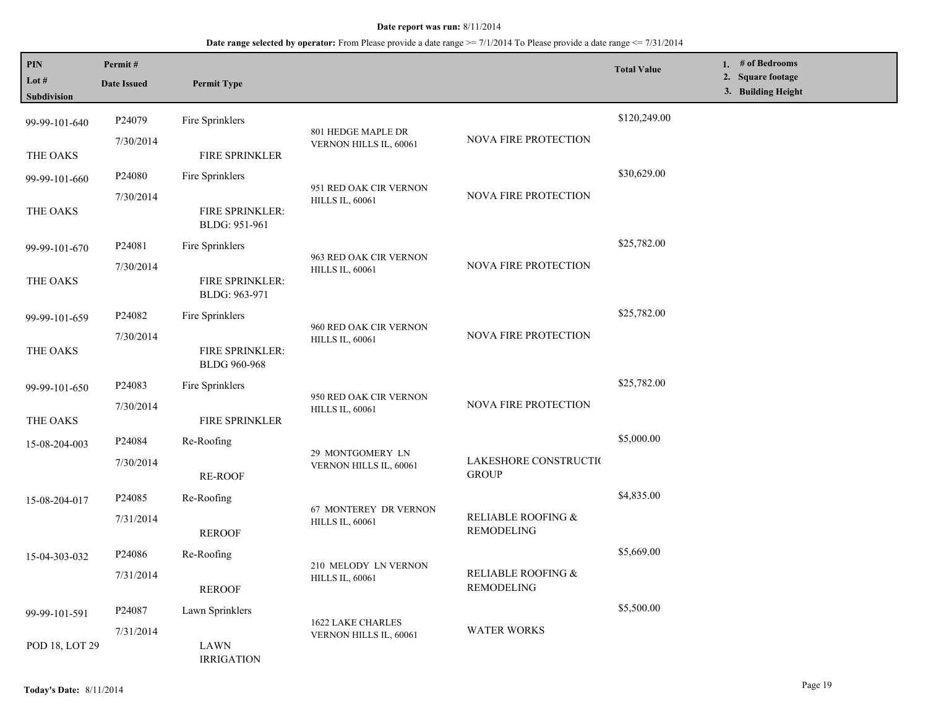| PIN<br>Lot #   | Permit#<br><b>Date Issued</b> | <b>Permit Type</b>                      |                                                                          |                                         | <b>Total Value</b> | 1. # of Bedrooms<br>2. Square footage<br>3. Building Height |
|----------------|-------------------------------|-----------------------------------------|--------------------------------------------------------------------------|-----------------------------------------|--------------------|-------------------------------------------------------------|
| Subdivision    |                               |                                         |                                                                          |                                         |                    |                                                             |
| 99-99-101-640  | P24079                        | Fire Sprinklers                         | 801 HEDGE MAPLE DR                                                       |                                         | \$120,249.00       |                                                             |
| THE OAKS       | 7/30/2014                     | FIRE SPRINKLER                          | VERNON HILLS IL, 60061                                                   | <b>NOVA FIRE PROTECTION</b>             |                    |                                                             |
| 99-99-101-660  | P24080                        | Fire Sprinklers                         | 951 RED OAK CIR VERNON                                                   |                                         | \$30,629.00        |                                                             |
| THE OAKS       | 7/30/2014                     | FIRE SPRINKLER:<br>BLDG: 951-961        | <b>HILLS IL, 60061</b>                                                   | NOVA FIRE PROTECTION                    |                    |                                                             |
| 99-99-101-670  | P24081                        | Fire Sprinklers                         | 963 RED OAK CIR VERNON                                                   |                                         | \$25,782.00        |                                                             |
| THE OAKS       | 7/30/2014                     | <b>FIRE SPRINKLER:</b><br>BLDG: 963-971 | <b>HILLS IL, 60061</b>                                                   | <b>NOVA FIRE PROTECTION</b>             |                    |                                                             |
| 99-99-101-659  | P24082                        | Fire Sprinklers                         |                                                                          |                                         | \$25,782.00        |                                                             |
| THE OAKS       | 7/30/2014                     | FIRE SPRINKLER:<br><b>BLDG 960-968</b>  | 960 RED OAK CIR VERNON<br>NOVA FIRE PROTECTION<br><b>HILLS IL, 60061</b> |                                         |                    |                                                             |
| 99-99-101-650  | P <sub>24083</sub>            | Fire Sprinklers                         |                                                                          |                                         | \$25,782.00        |                                                             |
| THE OAKS       | 7/30/2014                     | FIRE SPRINKLER                          | 950 RED OAK CIR VERNON<br><b>HILLS IL, 60061</b>                         | NOVA FIRE PROTECTION                    |                    |                                                             |
| 15-08-204-003  | P24084                        | Re-Roofing                              |                                                                          |                                         | \$5,000.00         |                                                             |
|                | 7/30/2014                     | <b>RE-ROOF</b>                          | 29 MONTGOMERY LN<br>VERNON HILLS IL, 60061                               | LAKESHORE CONSTRUCTIO<br><b>GROUP</b>   |                    |                                                             |
| 15-08-204-017  | P24085                        | Re-Roofing                              |                                                                          |                                         | \$4,835.00         |                                                             |
|                | 7/31/2014                     | <b>REROOF</b>                           | 67 MONTEREY DR VERNON<br><b>HILLS IL, 60061</b>                          | RELIABLE ROOFING $\&$<br>REMODELING     |                    |                                                             |
| 15-04-303-032  | P24086                        | Re-Roofing                              |                                                                          |                                         | \$5,669.00         |                                                             |
|                | 7/31/2014                     | <b>REROOF</b>                           | 210 MELODY LN VERNON<br><b>HILLS IL, 60061</b>                           | RELIABLE ROOFING &<br><b>REMODELING</b> |                    |                                                             |
| 99-99-101-591  | P <sub>24087</sub>            | Lawn Sprinklers                         |                                                                          |                                         | \$5,500.00         |                                                             |
| POD 18, LOT 29 | 7/31/2014                     | LAWN<br><b>IRRIGATION</b>               | <b>1622 LAKE CHARLES</b><br>VERNON HILLS IL, 60061                       | <b>WATER WORKS</b>                      |                    |                                                             |